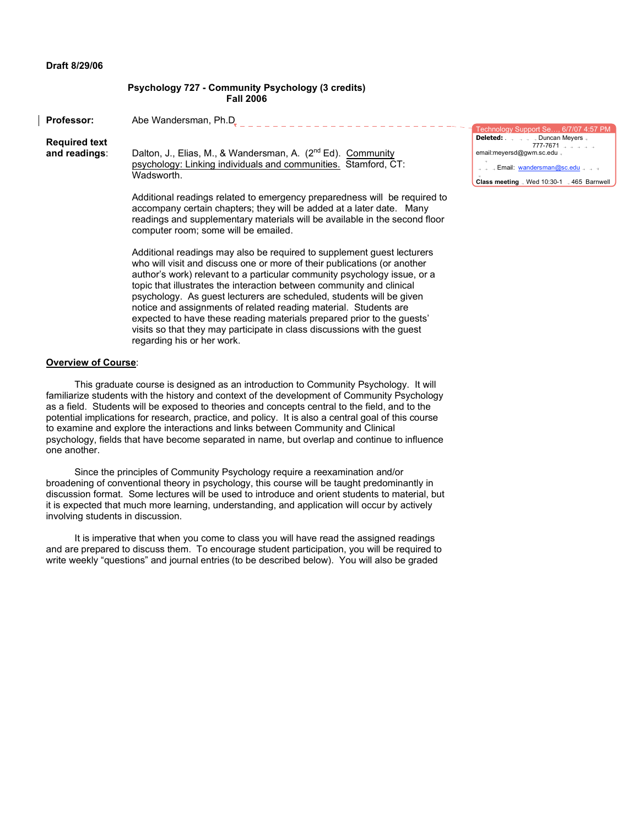#### **Draft 8/29/06**

### **Psychology 727 - Community Psychology (3 credits) Fall 2006**

**Professor:** Abe Wandersman, Ph.D<sub>r</sub> \_ \_ \_ \_ \_ \_ \_ \_ \_ \_ \_ \_ \_ \_ \_ \_ \_ \_ \_ \_ \_ \_ \_ \_ \_ \_ Technology Support Se…, 6/7/07 4:57 PM **Deleted:** . . . . Duncan Meyers **Required text** 777-7671

**and readings**: Dalton, J., Elias, M., & Wandersman, A. (2nd Ed). Community psychology: Linking individuals and communities. Stamford, CT: Wadsworth.

> Additional readings related to emergency preparedness will be required to accompany certain chapters; they will be added at a later date. Many readings and supplementary materials will be available in the second floor computer room; some will be emailed.

Additional readings may also be required to supplement guest lecturers who will visit and discuss one or more of their publications (or another author's work) relevant to a particular community psychology issue, or a topic that illustrates the interaction between community and clinical psychology. As guest lecturers are scheduled, students will be given notice and assignments of related reading material. Students are expected to have these reading materials prepared prior to the guests' visits so that they may participate in class discussions with the guest regarding his or her work.

#### **Overview of Course**:

This graduate course is designed as an introduction to Community Psychology. It will familiarize students with the history and context of the development of Community Psychology as a field. Students will be exposed to theories and concepts central to the field, and to the potential implications for research, practice, and policy. It is also a central goal of this course to examine and explore the interactions and links between Community and Clinical psychology, fields that have become separated in name, but overlap and continue to influence one another.

Since the principles of Community Psychology require a reexamination and/or broadening of conventional theory in psychology, this course will be taught predominantly in discussion format. Some lectures will be used to introduce and orient students to material, but it is expected that much more learning, understanding, and application will occur by actively involving students in discussion.

It is imperative that when you come to class you will have read the assigned readings and are prepared to discuss them. To encourage student participation, you will be required to write weekly "questions" and journal entries (to be described below). You will also be graded

| Technology Support Se, 6/7/07 4:57 PM      |
|--------------------------------------------|
| <b>Deleted:</b> Duncan Meyers .            |
| $777 - 7671$                               |
| email:meyersd@gwm.sc.edu                   |
| <b>Email: wandersman@sc.edu</b>            |
| Class meeting . Wed 10:30-1 . 465 Barnwell |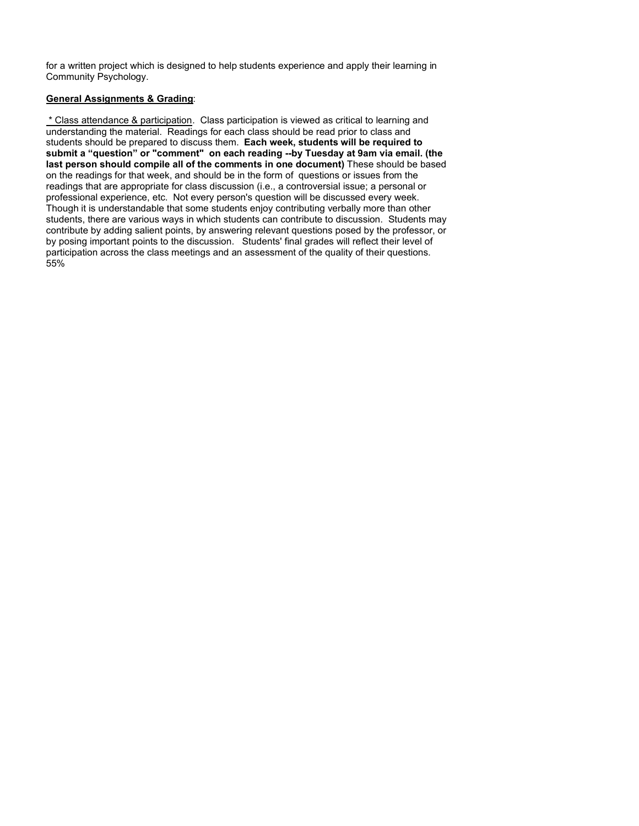for a written project which is designed to help students experience and apply their learning in Community Psychology.

# **General Assignments & Grading**:

\* Class attendance & participation. Class participation is viewed as critical to learning and understanding the material. Readings for each class should be read prior to class and students should be prepared to discuss them. **Each week, students will be required to submit a "question" or "comment" on each reading --by Tuesday at 9am via email. (the last person should compile all of the comments in one document)** These should be based on the readings for that week, and should be in the form of questions or issues from the readings that are appropriate for class discussion (i.e., a controversial issue; a personal or professional experience, etc. Not every person's question will be discussed every week. Though it is understandable that some students enjoy contributing verbally more than other students, there are various ways in which students can contribute to discussion. Students may contribute by adding salient points, by answering relevant questions posed by the professor, or by posing important points to the discussion. Students' final grades will reflect their level of participation across the class meetings and an assessment of the quality of their questions. 55%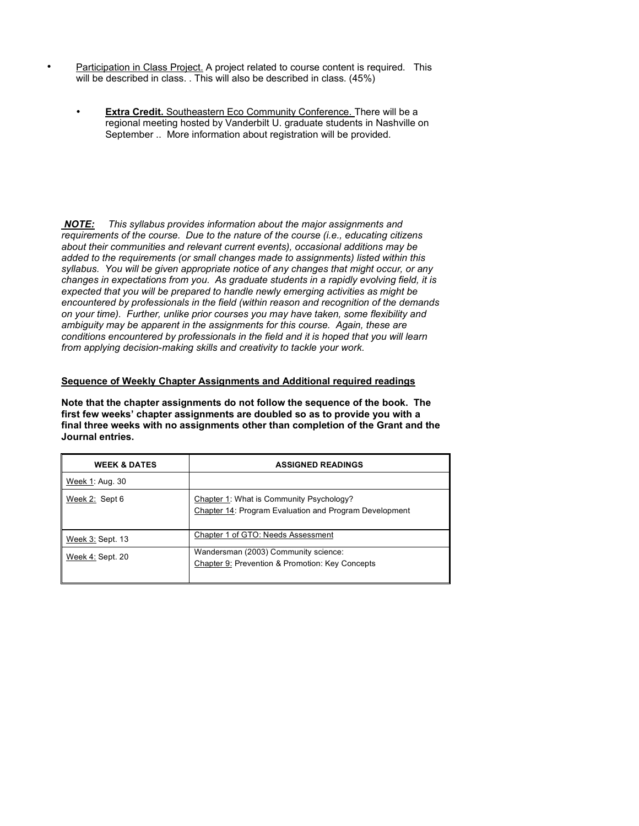- Participation in Class Project. A project related to course content is required. This will be described in class. . This will also be described in class. (45%)
	- **Extra Credit.** Southeastern Eco Community Conference. There will be a regional meeting hosted by Vanderbilt U. graduate students in Nashville on September .. More information about registration will be provided.

*NOTE: This syllabus provides information about the major assignments and requirements of the course. Due to the nature of the course (i.e., educating citizens about their communities and relevant current events), occasional additions may be added to the requirements (or small changes made to assignments) listed within this syllabus. You will be given appropriate notice of any changes that might occur, or any changes in expectations from you. As graduate students in a rapidly evolving field, it is expected that you will be prepared to handle newly emerging activities as might be encountered by professionals in the field (within reason and recognition of the demands on your time). Further, unlike prior courses you may have taken, some flexibility and ambiguity may be apparent in the assignments for this course. Again, these are conditions encountered by professionals in the field and it is hoped that you will learn from applying decision-making skills and creativity to tackle your work.*

## **Sequence of Weekly Chapter Assignments and Additional required readings**

**Note that the chapter assignments do not follow the sequence of the book. The first few weeks' chapter assignments are doubled so as to provide you with a final three weeks with no assignments other than completion of the Grant and the Journal entries.**

| <b>WEEK &amp; DATES</b> | <b>ASSIGNED READINGS</b>                                                                           |
|-------------------------|----------------------------------------------------------------------------------------------------|
| Week 1: Aug. 30         |                                                                                                    |
| Week 2: Sept 6          | Chapter 1: What is Community Psychology?<br>Chapter 14: Program Evaluation and Program Development |
| Week 3: Sept. 13        | Chapter 1 of GTO: Needs Assessment                                                                 |
| Week 4: Sept. 20        | Wandersman (2003) Community science:<br>Chapter 9: Prevention & Promotion: Key Concepts            |